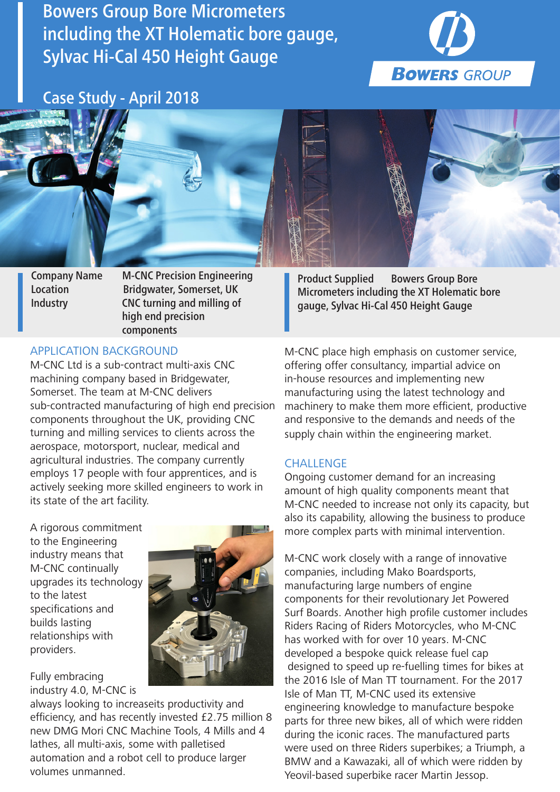Bowers Group Bore Micrometers including the XT Holematic bore gauge, Sylvac Hi-Cal 450 Height Gauge



Case Study - April 2018



Company Name M-CNC Precision Engineering Location Bridgwater, Somerset, UK Industry CNC turning and milling of high end precision components

## APPLICATION BACKGROUND

M-CNC Ltd is a sub-contract multi-axis CNC machining company based in Bridgewater, Somerset. The team at M-CNC delivers sub-contracted manufacturing of high end precision components throughout the UK, providing CNC turning and milling services to clients across the aerospace, motorsport, nuclear, medical and agricultural industries. The company currently employs 17 people with four apprentices, and is actively seeking more skilled engineers to work in its state of the art facility.

A rigorous commitment to the Engineering industry means that M-CNC continually upgrades its technology to the latest specifications and builds lasting relationships with providers.

Fully embracing industry 4.0, M-CNC is

always looking to increaseits productivity and efficiency, and has recently invested £2.75 million 8 new DMG Mori CNC Machine Tools, 4 Mills and 4 lathes, all multi-axis, some with palletised automation and a robot cell to produce larger volumes unmanned.

Product Supplied Bowers Group Bore Micrometers including the XT Holematic bore gauge, Sylvac Hi-Cal 450 Height Gauge

M-CNC place high emphasis on customer service, offering offer consultancy, impartial advice on in-house resources and implementing new manufacturing using the latest technology and machinery to make them more efficient, productive and responsive to the demands and needs of the supply chain within the engineering market.

## **CHALLENGE**

Ongoing customer demand for an increasing amount of high quality components meant that M-CNC needed to increase not only its capacity, but also its capability, allowing the business to produce more complex parts with minimal intervention.

M-CNC work closely with a range of innovative companies, including Mako Boardsports, manufacturing large numbers of engine components for their revolutionary Jet Powered Surf Boards. Another high profile customer includes Riders Racing of Riders Motorcycles, who M-CNC has worked with for over 10 years. M-CNC developed a bespoke quick release fuel cap designed to speed up re-fuelling times for bikes at the 2016 Isle of Man TT tournament. For the 2017 Isle of Man TT, M-CNC used its extensive engineering knowledge to manufacture bespoke parts for three new bikes, all of which were ridden during the iconic races. The manufactured parts were used on three Riders superbikes; a Triumph, a BMW and a Kawazaki, all of which were ridden by Yeovil-based superbike racer Martin Jessop.